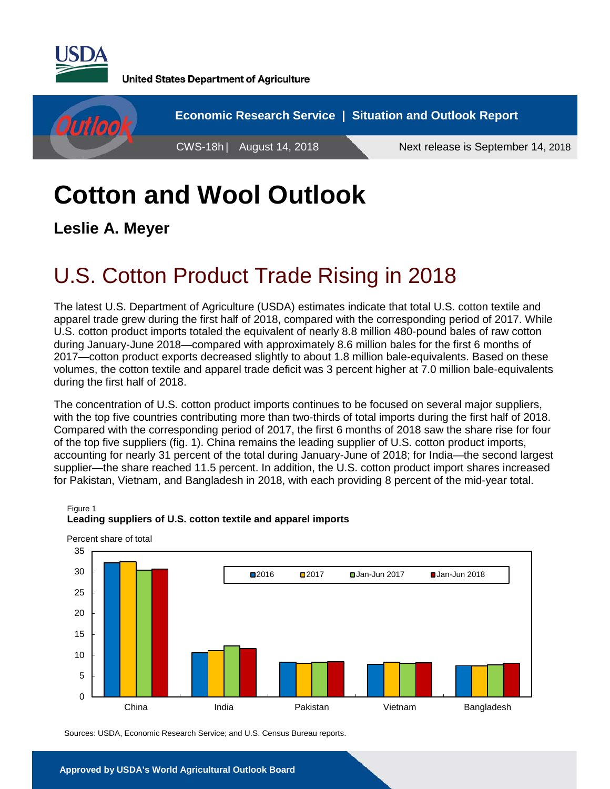

**United States Department of Agriculture** 



# **Cotton and Wool Outlook**

**Leslie A. Meyer**

Figure 1

## U.S. Cotton Product Trade Rising in 2018

The latest U.S. Department of Agriculture (USDA) estimates indicate that total U.S. cotton textile and apparel trade grew during the first half of 2018, compared with the corresponding period of 2017. While U.S. cotton product imports totaled the equivalent of nearly 8.8 million 480-pound bales of raw cotton during January-June 2018—compared with approximately 8.6 million bales for the first 6 months of 2017—cotton product exports decreased slightly to about 1.8 million bale-equivalents. Based on these volumes, the cotton textile and apparel trade deficit was 3 percent higher at 7.0 million bale-equivalents during the first half of 2018.

The concentration of U.S. cotton product imports continues to be focused on several major suppliers, with the top five countries contributing more than two-thirds of total imports during the first half of 2018. Compared with the corresponding period of 2017, the first 6 months of 2018 saw the share rise for four of the top five suppliers (fig. 1). China remains the leading supplier of U.S. cotton product imports, accounting for nearly 31 percent of the total during January-June of 2018; for India—the second largest supplier—the share reached 11.5 percent. In addition, the U.S. cotton product import shares increased for Pakistan, Vietnam, and Bangladesh in 2018, with each providing 8 percent of the mid-year total.



### **Leading suppliers of U.S. cotton textile and apparel imports**

Sources: USDA, Economic Research Service; and U.S. Census Bureau reports.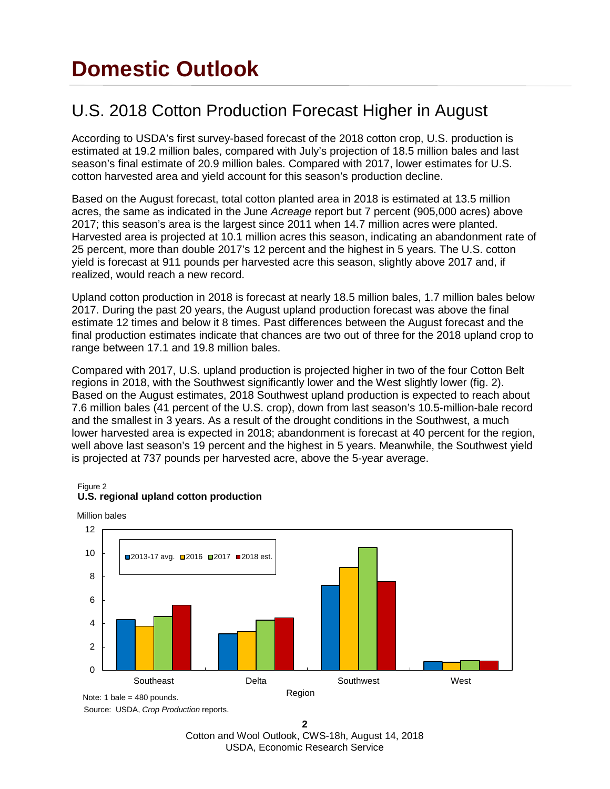## **Domestic Outlook**

## U.S. 2018 Cotton Production Forecast Higher in August

According to USDA's first survey-based forecast of the 2018 cotton crop, U.S. production is estimated at 19.2 million bales, compared with July's projection of 18.5 million bales and last season's final estimate of 20.9 million bales. Compared with 2017, lower estimates for U.S. cotton harvested area and yield account for this season's production decline.

Based on the August forecast, total cotton planted area in 2018 is estimated at 13.5 million acres, the same as indicated in the June *Acreage* report but 7 percent (905,000 acres) above 2017; this season's area is the largest since 2011 when 14.7 million acres were planted. Harvested area is projected at 10.1 million acres this season, indicating an abandonment rate of 25 percent, more than double 2017's 12 percent and the highest in 5 years. The U.S. cotton yield is forecast at 911 pounds per harvested acre this season, slightly above 2017 and, if realized, would reach a new record.

Upland cotton production in 2018 is forecast at nearly 18.5 million bales, 1.7 million bales below 2017. During the past 20 years, the August upland production forecast was above the final estimate 12 times and below it 8 times. Past differences between the August forecast and the final production estimates indicate that chances are two out of three for the 2018 upland crop to range between 17.1 and 19.8 million bales.

Compared with 2017, U.S. upland production is projected higher in two of the four Cotton Belt regions in 2018, with the Southwest significantly lower and the West slightly lower (fig. 2). Based on the August estimates, 2018 Southwest upland production is expected to reach about 7.6 million bales (41 percent of the U.S. crop), down from last season's 10.5-million-bale record and the smallest in 3 years. As a result of the drought conditions in the Southwest, a much lower harvested area is expected in 2018; abandonment is forecast at 40 percent for the region, well above last season's 19 percent and the highest in 5 years. Meanwhile, the Southwest yield is projected at 737 pounds per harvested acre, above the 5-year average.

### Figure 2



### **U.S. regional upland cotton production**

Source: USDA, *Crop Production* reports.

**2**  Cotton and Wool Outlook, CWS-18h, August 14, 2018 USDA, Economic Research Service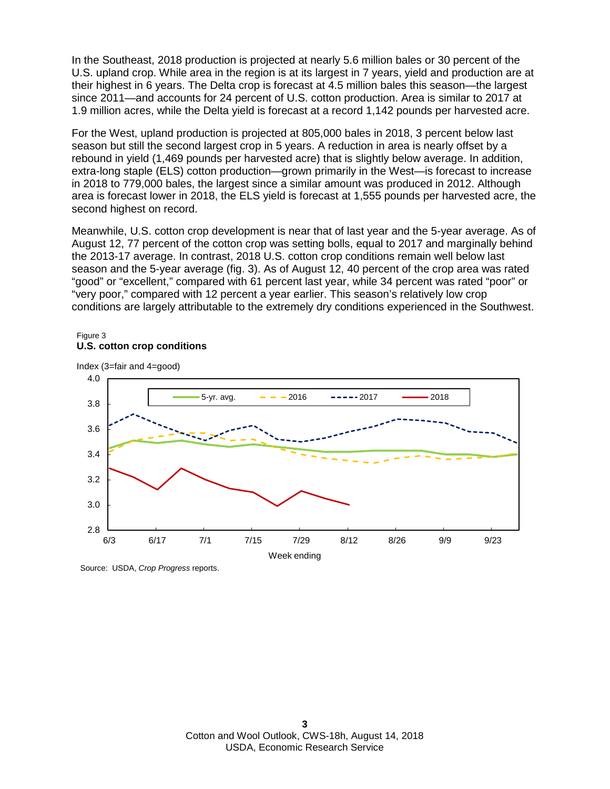In the Southeast, 2018 production is projected at nearly 5.6 million bales or 30 percent of the U.S. upland crop. While area in the region is at its largest in 7 years, yield and production are at their highest in 6 years. The Delta crop is forecast at 4.5 million bales this season—the largest since 2011—and accounts for 24 percent of U.S. cotton production. Area is similar to 2017 at 1.9 million acres, while the Delta yield is forecast at a record 1,142 pounds per harvested acre.

For the West, upland production is projected at 805,000 bales in 2018, 3 percent below last season but still the second largest crop in 5 years. A reduction in area is nearly offset by a rebound in yield (1,469 pounds per harvested acre) that is slightly below average. In addition, extra-long staple (ELS) cotton production—grown primarily in the West—is forecast to increase in 2018 to 779,000 bales, the largest since a similar amount was produced in 2012. Although area is forecast lower in 2018, the ELS yield is forecast at 1,555 pounds per harvested acre, the second highest on record.

Meanwhile, U.S. cotton crop development is near that of last year and the 5-year average. As of August 12, 77 percent of the cotton crop was setting bolls, equal to 2017 and marginally behind the 2013-17 average. In contrast, 2018 U.S. cotton crop conditions remain well below last season and the 5-year average (fig. 3). As of August 12, 40 percent of the crop area was rated "good" or "excellent," compared with 61 percent last year, while 34 percent was rated "poor" or "very poor," compared with 12 percent a year earlier. This season's relatively low crop conditions are largely attributable to the extremely dry conditions experienced in the Southwest.

#### Figure 3 **U.S. cotton crop conditions**



Source: USDA, *Crop Progress* reports.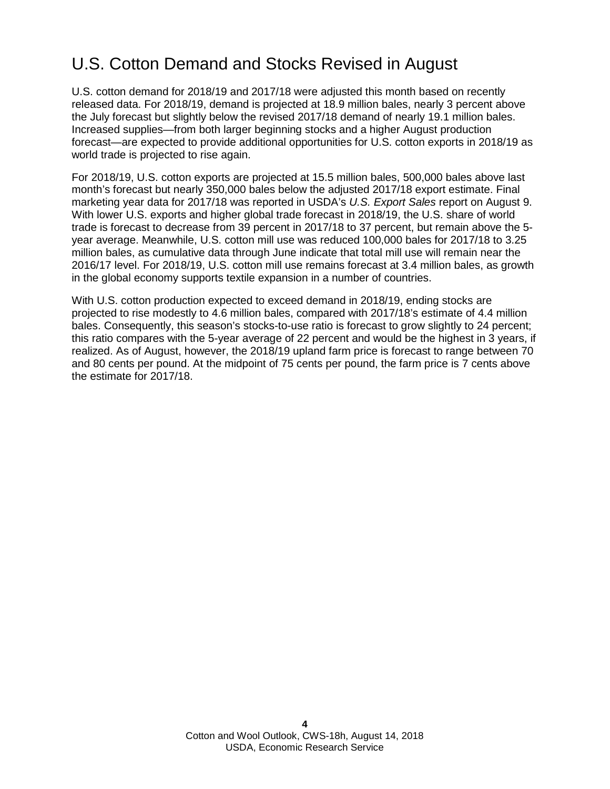## U.S. Cotton Demand and Stocks Revised in August

U.S. cotton demand for 2018/19 and 2017/18 were adjusted this month based on recently released data. For 2018/19, demand is projected at 18.9 million bales, nearly 3 percent above the July forecast but slightly below the revised 2017/18 demand of nearly 19.1 million bales. Increased supplies—from both larger beginning stocks and a higher August production forecast—are expected to provide additional opportunities for U.S. cotton exports in 2018/19 as world trade is projected to rise again.

For 2018/19, U.S. cotton exports are projected at 15.5 million bales, 500,000 bales above last month's forecast but nearly 350,000 bales below the adjusted 2017/18 export estimate. Final marketing year data for 2017/18 was reported in USDA's *U.S. Export Sales* report on August 9. With lower U.S. exports and higher global trade forecast in 2018/19, the U.S. share of world trade is forecast to decrease from 39 percent in 2017/18 to 37 percent, but remain above the 5 year average. Meanwhile, U.S. cotton mill use was reduced 100,000 bales for 2017/18 to 3.25 million bales, as cumulative data through June indicate that total mill use will remain near the 2016/17 level. For 2018/19, U.S. cotton mill use remains forecast at 3.4 million bales, as growth in the global economy supports textile expansion in a number of countries.

With U.S. cotton production expected to exceed demand in 2018/19, ending stocks are projected to rise modestly to 4.6 million bales, compared with 2017/18's estimate of 4.4 million bales. Consequently, this season's stocks-to-use ratio is forecast to grow slightly to 24 percent; this ratio compares with the 5-year average of 22 percent and would be the highest in 3 years, if realized. As of August, however, the 2018/19 upland farm price is forecast to range between 70 and 80 cents per pound. At the midpoint of 75 cents per pound, the farm price is 7 cents above the estimate for 2017/18.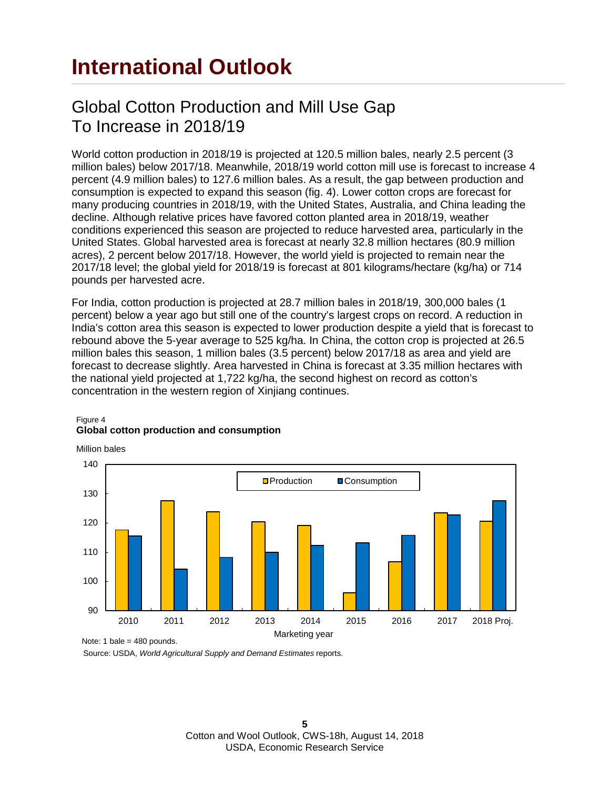## **International Outlook**

### Global Cotton Production and Mill Use Gap To Increase in 2018/19

World cotton production in 2018/19 is projected at 120.5 million bales, nearly 2.5 percent (3 million bales) below 2017/18. Meanwhile, 2018/19 world cotton mill use is forecast to increase 4 percent (4.9 million bales) to 127.6 million bales. As a result, the gap between production and consumption is expected to expand this season (fig. 4). Lower cotton crops are forecast for many producing countries in 2018/19, with the United States, Australia, and China leading the decline. Although relative prices have favored cotton planted area in 2018/19, weather conditions experienced this season are projected to reduce harvested area, particularly in the United States. Global harvested area is forecast at nearly 32.8 million hectares (80.9 million acres), 2 percent below 2017/18. However, the world yield is projected to remain near the 2017/18 level; the global yield for 2018/19 is forecast at 801 kilograms/hectare (kg/ha) or 714 pounds per harvested acre.

For India, cotton production is projected at 28.7 million bales in 2018/19, 300,000 bales (1 percent) below a year ago but still one of the country's largest crops on record. A reduction in India's cotton area this season is expected to lower production despite a yield that is forecast to rebound above the 5-year average to 525 kg/ha. In China, the cotton crop is projected at 26.5 million bales this season, 1 million bales (3.5 percent) below 2017/18 as area and yield are forecast to decrease slightly. Area harvested in China is forecast at 3.35 million hectares with the national yield projected at 1,722 kg/ha, the second highest on record as cotton's concentration in the western region of Xinjiang continues.



### Figure 4 **Global cotton production and consumption**

Million bales

Source: USDA, *World Agricultural Supply and Demand Estimates* reports.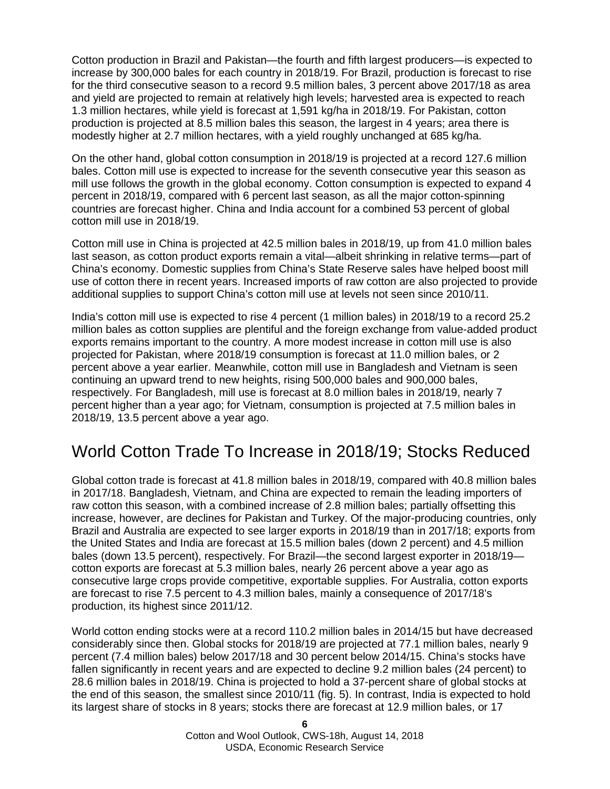Cotton production in Brazil and Pakistan—the fourth and fifth largest producers—is expected to increase by 300,000 bales for each country in 2018/19. For Brazil, production is forecast to rise for the third consecutive season to a record 9.5 million bales, 3 percent above 2017/18 as area and yield are projected to remain at relatively high levels; harvested area is expected to reach 1.3 million hectares, while yield is forecast at 1,591 kg/ha in 2018/19. For Pakistan, cotton production is projected at 8.5 million bales this season, the largest in 4 years; area there is modestly higher at 2.7 million hectares, with a yield roughly unchanged at 685 kg/ha.

On the other hand, global cotton consumption in 2018/19 is projected at a record 127.6 million bales. Cotton mill use is expected to increase for the seventh consecutive year this season as mill use follows the growth in the global economy. Cotton consumption is expected to expand 4 percent in 2018/19, compared with 6 percent last season, as all the major cotton-spinning countries are forecast higher. China and India account for a combined 53 percent of global cotton mill use in 2018/19.

Cotton mill use in China is projected at 42.5 million bales in 2018/19, up from 41.0 million bales last season, as cotton product exports remain a vital—albeit shrinking in relative terms—part of China's economy. Domestic supplies from China's State Reserve sales have helped boost mill use of cotton there in recent years. Increased imports of raw cotton are also projected to provide additional supplies to support China's cotton mill use at levels not seen since 2010/11.

India's cotton mill use is expected to rise 4 percent (1 million bales) in 2018/19 to a record 25.2 million bales as cotton supplies are plentiful and the foreign exchange from value-added product exports remains important to the country. A more modest increase in cotton mill use is also projected for Pakistan, where 2018/19 consumption is forecast at 11.0 million bales, or 2 percent above a year earlier. Meanwhile, cotton mill use in Bangladesh and Vietnam is seen continuing an upward trend to new heights, rising 500,000 bales and 900,000 bales, respectively. For Bangladesh, mill use is forecast at 8.0 million bales in 2018/19, nearly 7 percent higher than a year ago; for Vietnam, consumption is projected at 7.5 million bales in 2018/19, 13.5 percent above a year ago.

### World Cotton Trade To Increase in 2018/19; Stocks Reduced

Global cotton trade is forecast at 41.8 million bales in 2018/19, compared with 40.8 million bales in 2017/18. Bangladesh, Vietnam, and China are expected to remain the leading importers of raw cotton this season, with a combined increase of 2.8 million bales; partially offsetting this increase, however, are declines for Pakistan and Turkey. Of the major-producing countries, only Brazil and Australia are expected to see larger exports in 2018/19 than in 2017/18; exports from the United States and India are forecast at 15.5 million bales (down 2 percent) and 4.5 million bales (down 13.5 percent), respectively. For Brazil—the second largest exporter in 2018/19 cotton exports are forecast at 5.3 million bales, nearly 26 percent above a year ago as consecutive large crops provide competitive, exportable supplies. For Australia, cotton exports are forecast to rise 7.5 percent to 4.3 million bales, mainly a consequence of 2017/18's production, its highest since 2011/12.

World cotton ending stocks were at a record 110.2 million bales in 2014/15 but have decreased considerably since then. Global stocks for 2018/19 are projected at 77.1 million bales, nearly 9 percent (7.4 million bales) below 2017/18 and 30 percent below 2014/15. China's stocks have fallen significantly in recent years and are expected to decline 9.2 million bales (24 percent) to 28.6 million bales in 2018/19. China is projected to hold a 37-percent share of global stocks at the end of this season, the smallest since 2010/11 (fig. 5). In contrast, India is expected to hold its largest share of stocks in 8 years; stocks there are forecast at 12.9 million bales, or 17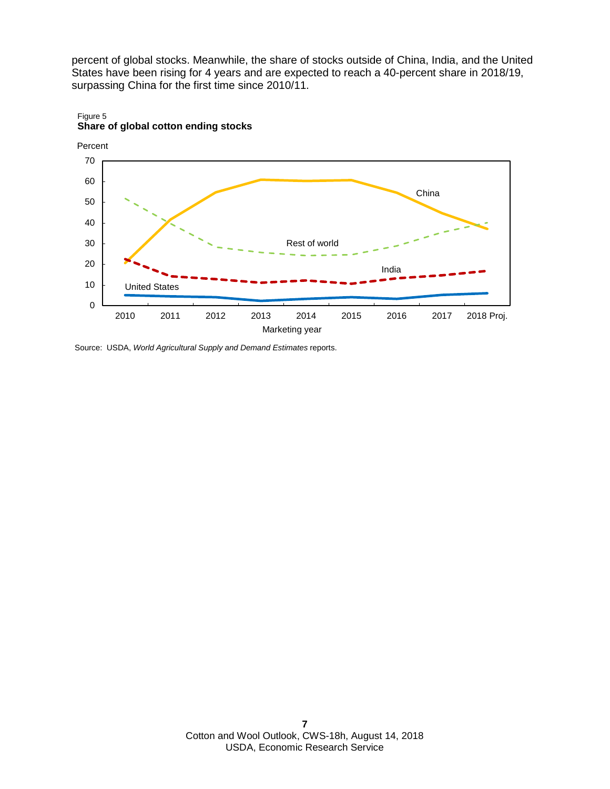percent of global stocks. Meanwhile, the share of stocks outside of China, India, and the United States have been rising for 4 years and are expected to reach a 40-percent share in 2018/19, surpassing China for the first time since 2010/11.



#### Figure 5 **Share of global cotton ending stocks**

Source: USDA, *World Agricultural Supply and Demand Estimates* reports.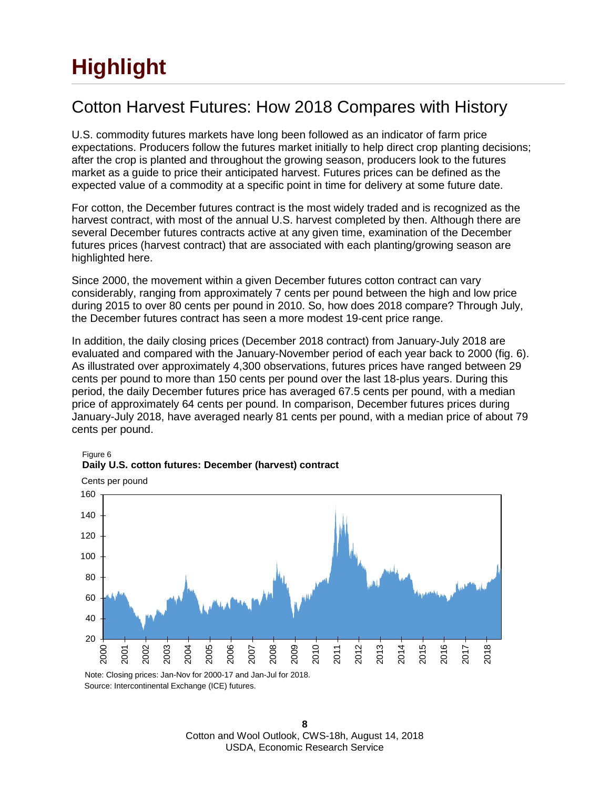# **Highlight**

## Cotton Harvest Futures: How 2018 Compares with History

U.S. commodity futures markets have long been followed as an indicator of farm price expectations. Producers follow the futures market initially to help direct crop planting decisions; after the crop is planted and throughout the growing season, producers look to the futures market as a guide to price their anticipated harvest. Futures prices can be defined as the expected value of a commodity at a specific point in time for delivery at some future date.

For cotton, the December futures contract is the most widely traded and is recognized as the harvest contract, with most of the annual U.S. harvest completed by then. Although there are several December futures contracts active at any given time, examination of the December futures prices (harvest contract) that are associated with each planting/growing season are highlighted here.

Since 2000, the movement within a given December futures cotton contract can vary considerably, ranging from approximately 7 cents per pound between the high and low price during 2015 to over 80 cents per pound in 2010. So, how does 2018 compare? Through July, the December futures contract has seen a more modest 19-cent price range.

In addition, the daily closing prices (December 2018 contract) from January-July 2018 are evaluated and compared with the January-November period of each year back to 2000 (fig. 6). As illustrated over approximately 4,300 observations, futures prices have ranged between 29 cents per pound to more than 150 cents per pound over the last 18-plus years. During this period, the daily December futures price has averaged 67.5 cents per pound, with a median price of approximately 64 cents per pound. In comparison, December futures prices during January-July 2018, have averaged nearly 81 cents per pound, with a median price of about 79 cents per pound.



Figure 6 **Daily U.S. cotton futures: December (harvest) contract**

Source: Intercontinental Exchange (ICE) futures. Note: Closing prices: Jan-Nov for 2000-17 and Jan-Jul for 2018.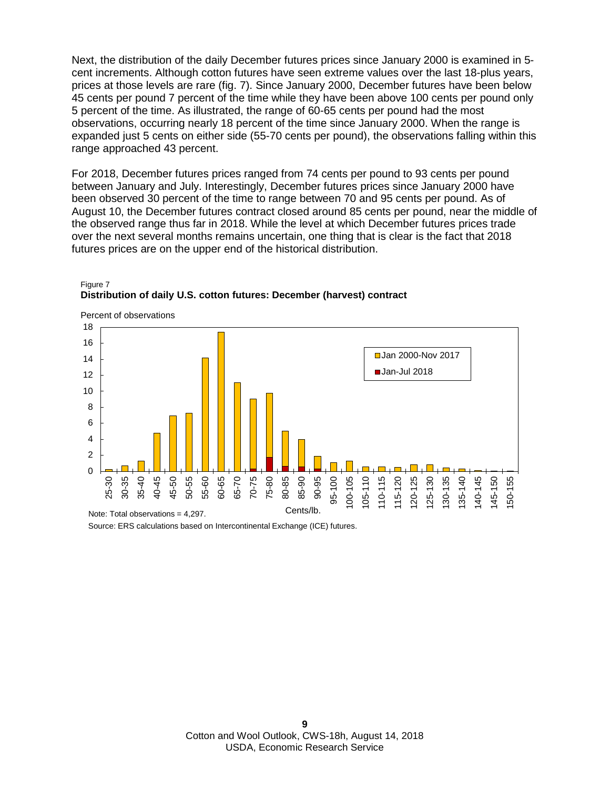Next, the distribution of the daily December futures prices since January 2000 is examined in 5 cent increments. Although cotton futures have seen extreme values over the last 18-plus years, prices at those levels are rare (fig. 7). Since January 2000, December futures have been below 45 cents per pound 7 percent of the time while they have been above 100 cents per pound only 5 percent of the time. As illustrated, the range of 60-65 cents per pound had the most observations, occurring nearly 18 percent of the time since January 2000. When the range is expanded just 5 cents on either side (55-70 cents per pound), the observations falling within this range approached 43 percent.

For 2018, December futures prices ranged from 74 cents per pound to 93 cents per pound between January and July. Interestingly, December futures prices since January 2000 have been observed 30 percent of the time to range between 70 and 95 cents per pound. As of August 10, the December futures contract closed around 85 cents per pound, near the middle of the observed range thus far in 2018. While the level at which December futures prices trade over the next several months remains uncertain, one thing that is clear is the fact that 2018 futures prices are on the upper end of the historical distribution.



#### Figure 7 **Distribution of daily U.S. cotton futures: December (harvest) contract**

Source: ERS calculations based on Intercontinental Exchange (ICE) futures.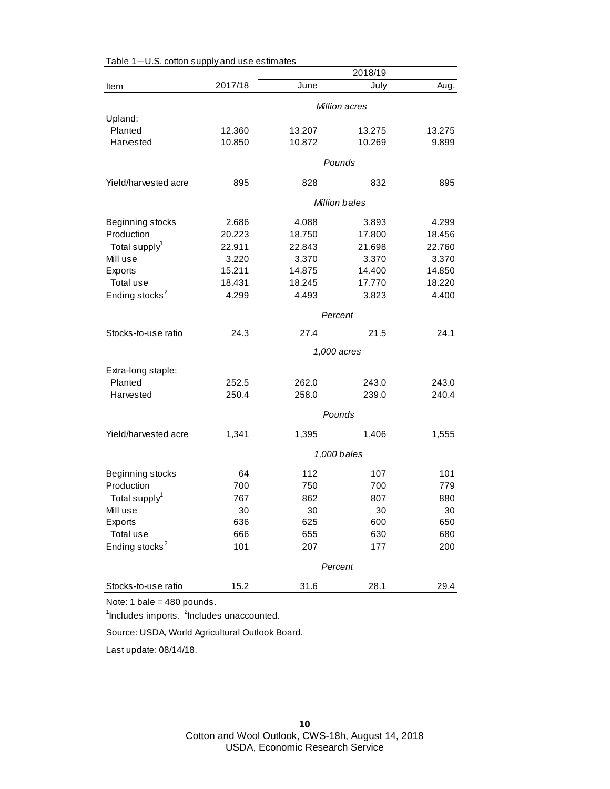|                               |         |        | 2018/19              |        |
|-------------------------------|---------|--------|----------------------|--------|
| Item                          | 2017/18 | June   | July                 | Aug.   |
|                               |         |        | Million acres        |        |
| Upland:                       |         |        |                      |        |
| Planted                       | 12.360  | 13.207 | 13.275               | 13.275 |
| Harvested                     | 10.850  | 10.872 | 10.269               | 9.899  |
|                               |         |        | Pounds               |        |
|                               |         |        |                      |        |
| Yield/harvested acre          | 895     | 828    | 832                  | 895    |
|                               |         |        | <b>Million bales</b> |        |
| Beginning stocks              | 2.686   | 4.088  | 3.893                | 4.299  |
| Production                    | 20.223  | 18.750 | 17.800               | 18.456 |
| Total supply <sup>1</sup>     | 22.911  | 22.843 | 21.698               | 22.760 |
| Mill use                      | 3.220   | 3.370  | 3.370                | 3.370  |
| Exports                       | 15.211  | 14.875 | 14.400               | 14.850 |
| Total use                     | 18.431  | 18.245 | 17.770               | 18.220 |
| Ending stocks <sup>2</sup>    | 4.299   | 4.493  | 3.823                | 4.400  |
|                               |         |        | Percent              |        |
| Stocks-to-use ratio           | 24.3    | 27.4   | 21.5                 | 24.1   |
|                               |         |        | 1,000 acres          |        |
|                               |         |        |                      |        |
| Extra-long staple:<br>Planted | 252.5   | 262.0  | 243.0                | 243.0  |
| Harvested                     | 250.4   | 258.0  | 239.0                | 240.4  |
|                               |         |        |                      |        |
|                               |         |        | Pounds               |        |
| Yield/harvested acre          | 1,341   | 1,395  | 1,406                | 1,555  |
|                               |         |        | 1,000 bales          |        |
| Beginning stocks              | 64      | 112    | 107                  | 101    |
| Production                    | 700     | 750    | 700                  | 779    |
| Total supply <sup>1</sup>     | 767     | 862    | 807                  | 880    |
| Mill use                      | 30      | 30     | 30                   | 30     |
| Exports                       | 636     | 625    | 600                  | 650    |
| Total use                     | 666     | 655    | 630                  | 680    |
| Ending stocks <sup>2</sup>    | 101     | 207    | 177                  | 200    |
|                               |         |        |                      |        |
|                               |         |        | Percent              |        |
| Stocks-to-use ratio           | 15.2    | 31.6   | 28.1                 | 29.4   |

### Table 1—U.S. cotton supply and use estimates

Note: 1 bale = 480 pounds.

<sup>1</sup>Includes imports. <sup>2</sup>Includes unaccounted.

Source: USDA, World Agricultural Outlook Board.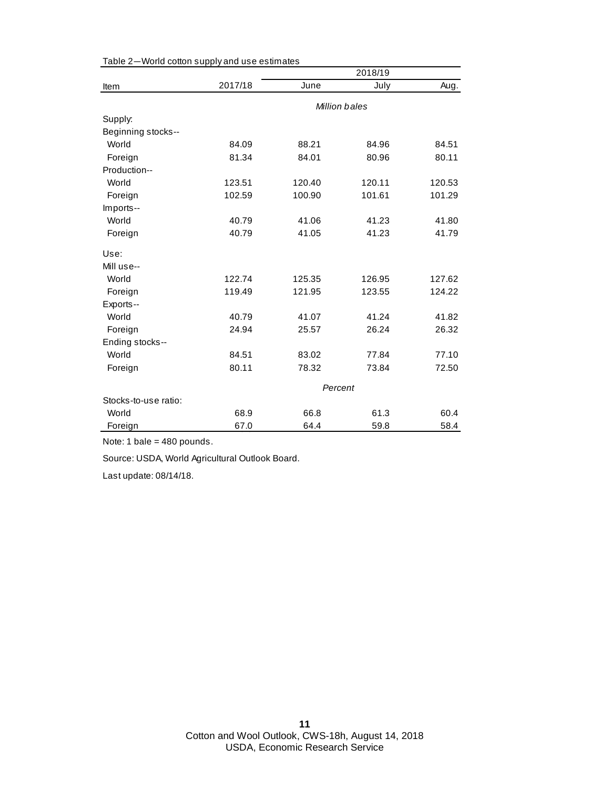|                      |         |         | 2018/19       |        |
|----------------------|---------|---------|---------------|--------|
| Item                 | 2017/18 | June    | July          | Aug.   |
|                      |         |         | Million bales |        |
| Supply:              |         |         |               |        |
| Beginning stocks--   |         |         |               |        |
| World                | 84.09   | 88.21   | 84.96         | 84.51  |
| Foreign              | 81.34   | 84.01   | 80.96         | 80.11  |
| Production--         |         |         |               |        |
| World                | 123.51  | 120.40  | 120.11        | 120.53 |
| Foreign              | 102.59  | 100.90  | 101.61        | 101.29 |
| Imports--            |         |         |               |        |
| World                | 40.79   | 41.06   | 41.23         | 41.80  |
| Foreign              | 40.79   | 41.05   | 41.23         | 41.79  |
| Use:                 |         |         |               |        |
| Mill use--           |         |         |               |        |
| World                | 122.74  | 125.35  | 126.95        | 127.62 |
| Foreign              | 119.49  | 121.95  | 123.55        | 124.22 |
| Exports--            |         |         |               |        |
| World                | 40.79   | 41.07   | 41.24         | 41.82  |
| Foreign              | 24.94   | 25.57   | 26.24         | 26.32  |
| Ending stocks--      |         |         |               |        |
| World                | 84.51   | 83.02   | 77.84         | 77.10  |
| Foreign              | 80.11   | 78.32   | 73.84         | 72.50  |
|                      |         | Percent |               |        |
| Stocks-to-use ratio: |         |         |               |        |
| World                | 68.9    | 66.8    | 61.3          | 60.4   |
| Foreign              | 67.0    | 64.4    | 59.8          | 58.4   |

Table 2—World cotton supply and use estimates

Note: 1 bale = 480 pounds.

Source: USDA, World Agricultural Outlook Board.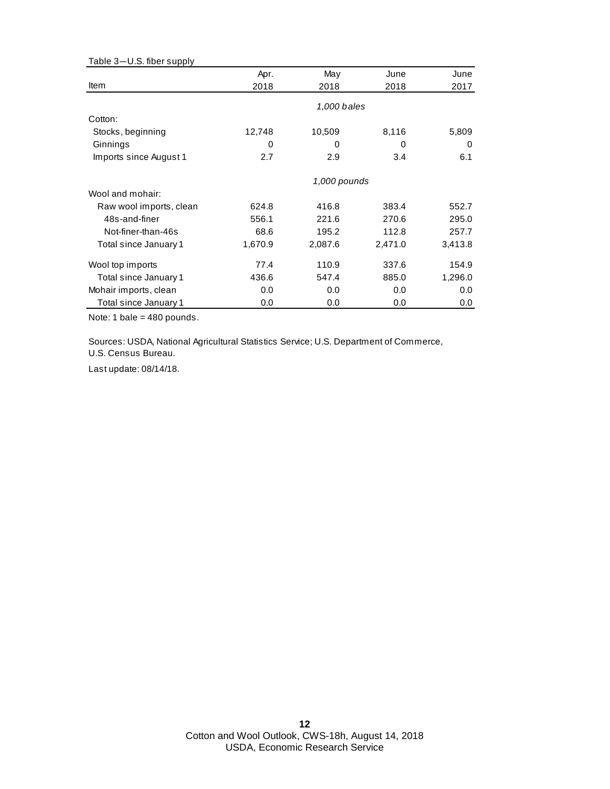| Table 3-U.S. fiber supply |         |              |         |         |
|---------------------------|---------|--------------|---------|---------|
|                           | Apr.    | May          | June    | June    |
| Item                      | 2018    | 2018         | 2018    | 2017    |
|                           |         | 1,000 bales  |         |         |
| Cotton:                   |         |              |         |         |
| Stocks, beginning         | 12,748  | 10,509       | 8,116   | 5,809   |
| Ginnings                  | 0       | 0            | 0       | 0       |
| Imports since August 1    | 2.7     | 2.9          | 3.4     | 6.1     |
|                           |         | 1,000 pounds |         |         |
| Wool and mohair:          |         |              |         |         |
| Raw wool imports, clean   | 624.8   | 416.8        | 383.4   | 552.7   |
| 48s-and-finer             | 556.1   | 221.6        | 270.6   | 295.0   |
| Not-finer-than-46s        | 68.6    | 195.2        | 112.8   | 257.7   |
| Total since January 1     | 1,670.9 | 2,087.6      | 2,471.0 | 3,413.8 |
| Wool top imports          | 77.4    | 110.9        | 337.6   | 154.9   |
| Total since January 1     | 436.6   | 547.4        | 885.0   | 1,296.0 |
| Mohair imports, clean     | 0.0     | 0.0          | 0.0     | 0.0     |
| Total since January 1     | 0.0     | 0.0          | 0.0     | 0.0     |

Note: 1 bale = 480 pounds.

Sources: USDA, National Agricultural Statistics Service; U.S. Department of Commerce, U.S. Census Bureau.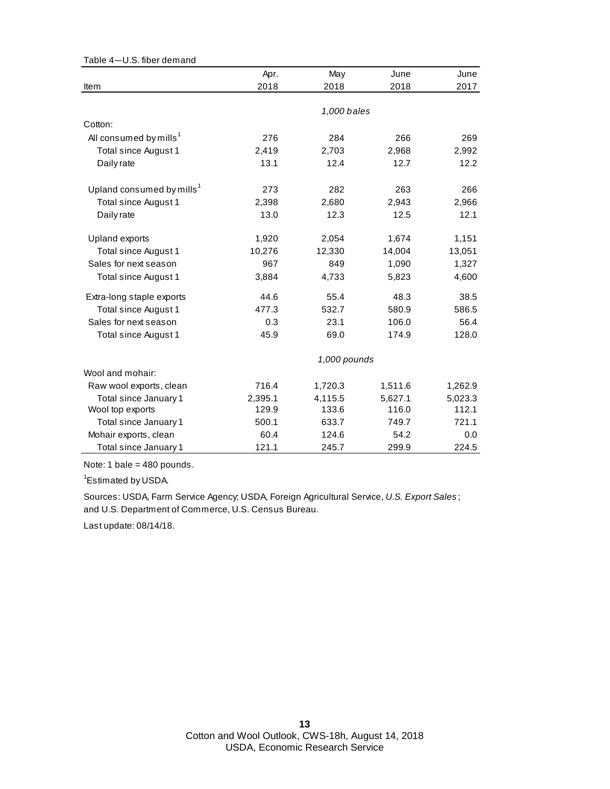| Table 4-U.S. fiber demand             |         |              |         |         |
|---------------------------------------|---------|--------------|---------|---------|
|                                       | Apr.    | May          | June    | June    |
| Item                                  | 2018    | 2018         | 2018    | 2017    |
|                                       |         |              |         |         |
|                                       |         | 1,000 bales  |         |         |
| Cotton:                               |         |              |         |         |
| All consumed by mills <sup>1</sup>    | 276     | 284          | 266     | 269     |
| Total since August 1                  | 2,419   | 2,703        | 2,968   | 2,992   |
| Daily rate                            | 13.1    | 12.4         | 12.7    | 12.2    |
| Upland consumed by mills <sup>1</sup> | 273     | 282          | 263     | 266     |
| Total since August 1                  | 2,398   | 2,680        | 2,943   | 2,966   |
| Daily rate                            | 13.0    | 12.3         | 12.5    | 12.1    |
| Upland exports                        | 1,920   | 2,054        | 1,674   | 1,151   |
| Total since August 1                  | 10,276  | 12,330       | 14,004  | 13,051  |
| Sales for next season                 | 967     | 849          | 1,090   | 1,327   |
| Total since August 1                  | 3,884   | 4,733        | 5,823   | 4,600   |
| Extra-long staple exports             | 44.6    | 55.4         | 48.3    | 38.5    |
| Total since August 1                  | 477.3   | 532.7        | 580.9   | 586.5   |
| Sales for next season                 | 0.3     | 23.1         | 106.0   | 56.4    |
| Total since August 1                  | 45.9    | 69.0         | 174.9   | 128.0   |
|                                       |         | 1,000 pounds |         |         |
| Wool and mohair:                      |         |              |         |         |
| Raw wool exports, clean               | 716.4   | 1,720.3      | 1,511.6 | 1,262.9 |
| Total since January 1                 | 2,395.1 | 4,115.5      | 5,627.1 | 5,023.3 |
| Wool top exports                      | 129.9   | 133.6        | 116.0   | 112.1   |
| Total since January 1                 | 500.1   | 633.7        | 749.7   | 721.1   |
| Mohair exports, clean                 | 60.4    | 124.6        | 54.2    | 0.0     |
| Total since January 1                 | 121.1   | 245.7        | 299.9   | 224.5   |

Note: 1 bale = 480 pounds.

<sup>1</sup>Estimated by USDA.

and U.S. Department of Commerce, U.S. Census Bureau. Sources: USDA, Farm Service Agency; USDA, Foreign Agricultural Service, *U.S. Export Sales* ;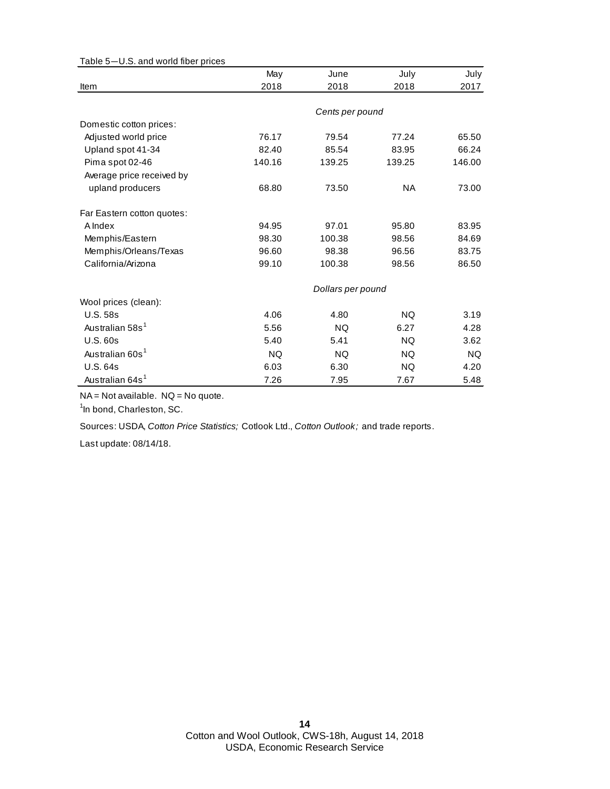| Table 5-U.S. and world fiber prices |           |                   |           |           |
|-------------------------------------|-----------|-------------------|-----------|-----------|
|                                     | May       | June              | July      | July      |
| Item                                | 2018      | 2018              | 2018      | 2017      |
|                                     |           |                   |           |           |
|                                     |           | Cents per pound   |           |           |
| Domestic cotton prices:             |           |                   |           |           |
| Adjusted world price                | 76.17     | 79.54             | 77.24     | 65.50     |
| Upland spot 41-34                   | 82.40     | 85.54             | 83.95     | 66.24     |
| Pima spot 02-46                     | 140.16    | 139.25            | 139.25    | 146.00    |
| Average price received by           |           |                   |           |           |
| upland producers                    | 68.80     | 73.50             | <b>NA</b> | 73.00     |
| Far Eastern cotton quotes:          |           |                   |           |           |
| A Index                             | 94.95     | 97.01             | 95.80     | 83.95     |
| Memphis/Eastern                     | 98.30     | 100.38            | 98.56     | 84.69     |
| Memphis/Orleans/Texas               | 96.60     | 98.38             | 96.56     | 83.75     |
| California/Arizona                  | 99.10     | 100.38            | 98.56     | 86.50     |
|                                     |           | Dollars per pound |           |           |
| Wool prices (clean):                |           |                   |           |           |
| <b>U.S. 58s</b>                     | 4.06      | 4.80              | <b>NQ</b> | 3.19      |
| Australian 58s <sup>1</sup>         | 5.56      | <b>NQ</b>         | 6.27      | 4.28      |
| U.S.60s                             | 5.40      | 5.41              | NQ.       | 3.62      |
| Australian 60s <sup>1</sup>         | <b>NQ</b> | NQ.               | NQ.       | <b>NQ</b> |
| <b>U.S. 64s</b>                     | 6.03      | 6.30              | <b>NQ</b> | 4.20      |
| Australian 64s <sup>1</sup>         | 7.26      | 7.95              | 7.67      | 5.48      |

NA = Not available. NQ = No quote.

<sup>1</sup>In bond, Charleston, SC.

Sources: USDA, *Cotton Price Statistics;* Cotlook Ltd., *Cotton Outlook;* and trade reports.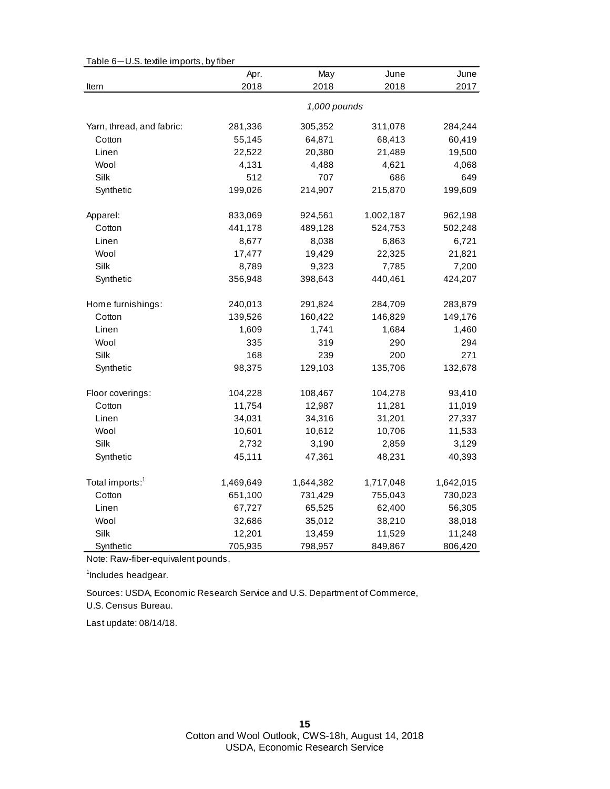|                             | Apr.      | May          | June      | June      |
|-----------------------------|-----------|--------------|-----------|-----------|
| Item                        | 2018      | 2018         | 2018      | 2017      |
|                             |           | 1,000 pounds |           |           |
| Yarn, thread, and fabric:   | 281,336   | 305,352      | 311,078   | 284,244   |
| Cotton                      | 55,145    | 64,871       | 68,413    | 60,419    |
| Linen                       | 22,522    | 20,380       | 21,489    | 19,500    |
| Wool                        | 4,131     | 4,488        | 4,621     | 4,068     |
| Silk                        | 512       | 707          | 686       | 649       |
| Synthetic                   | 199,026   | 214,907      | 215,870   | 199,609   |
| Apparel:                    | 833,069   | 924,561      | 1,002,187 | 962,198   |
| Cotton                      | 441,178   | 489,128      | 524,753   | 502,248   |
| Linen                       | 8,677     | 8,038        | 6,863     | 6,721     |
| Wool                        | 17,477    | 19,429       | 22,325    | 21,821    |
| Silk                        | 8,789     | 9,323        | 7,785     | 7,200     |
| Synthetic                   | 356,948   | 398,643      | 440,461   | 424,207   |
| Home furnishings:           | 240,013   | 291,824      | 284,709   | 283,879   |
| Cotton                      | 139,526   | 160,422      | 146,829   | 149,176   |
| Linen                       | 1,609     | 1,741        | 1,684     | 1,460     |
| Wool                        | 335       | 319          | 290       | 294       |
| Silk                        | 168       | 239          | 200       | 271       |
| Synthetic                   | 98,375    | 129,103      | 135,706   | 132,678   |
| Floor coverings:            | 104,228   | 108,467      | 104,278   | 93,410    |
| Cotton                      | 11,754    | 12,987       | 11,281    | 11,019    |
| Linen                       | 34,031    | 34,316       | 31,201    | 27,337    |
| Wool                        | 10,601    | 10,612       | 10,706    | 11,533    |
| Silk                        | 2,732     | 3,190        | 2,859     | 3,129     |
| Synthetic                   | 45,111    | 47,361       | 48,231    | 40,393    |
| Total imports: <sup>1</sup> | 1,469,649 | 1,644,382    | 1,717,048 | 1,642,015 |
| Cotton                      | 651,100   | 731,429      | 755,043   | 730,023   |
| Linen                       | 67,727    | 65,525       | 62,400    | 56,305    |
| Wool                        | 32,686    | 35,012       | 38,210    | 38,018    |
| Silk                        | 12,201    | 13,459       | 11,529    | 11,248    |
| Synthetic                   | 705,935   | 798,957      | 849,867   | 806,420   |

Table 6—U.S. textile imports, by fiber

Note: Raw-fiber-equivalent pounds.

<sup>1</sup>Includes headgear.

U.S. Census Bureau. Sources: USDA, Economic Research Service and U.S. Department of Commerce,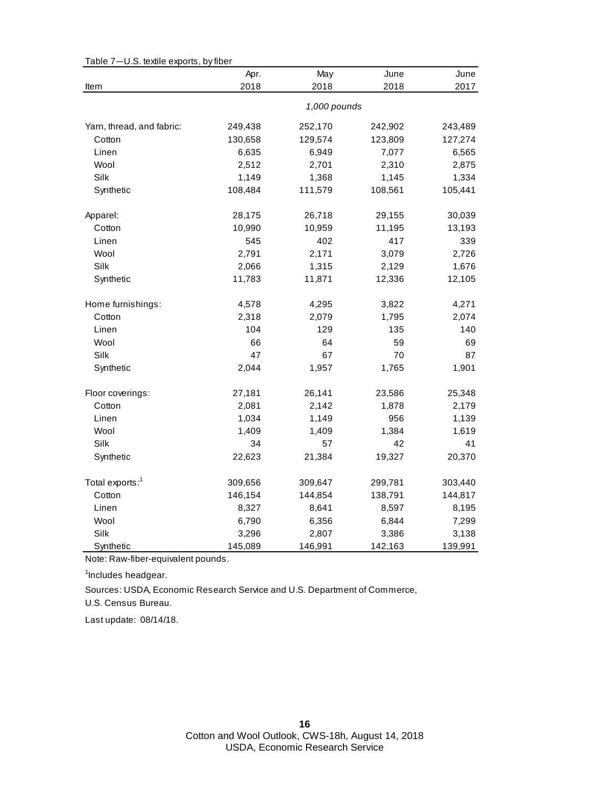|                             | Apr.    | May          | June    | June    |
|-----------------------------|---------|--------------|---------|---------|
| Item                        | 2018    | 2018         | 2018    | 2017    |
|                             |         | 1,000 pounds |         |         |
| Yarn, thread, and fabric:   | 249,438 | 252,170      | 242,902 | 243,489 |
| Cotton                      | 130,658 | 129,574      | 123,809 | 127,274 |
| Linen                       | 6,635   | 6,949        | 7,077   | 6,565   |
| Wool                        | 2,512   | 2,701        | 2,310   | 2,875   |
| Silk                        | 1,149   | 1,368        | 1,145   | 1,334   |
| Synthetic                   | 108,484 | 111,579      | 108,561 | 105,441 |
| Apparel:                    | 28,175  | 26,718       | 29,155  | 30,039  |
| Cotton                      | 10,990  | 10,959       | 11,195  | 13,193  |
| Linen                       | 545     | 402          | 417     | 339     |
| Wool                        | 2,791   | 2,171        | 3,079   | 2,726   |
| Silk                        | 2,066   | 1,315        | 2,129   | 1,676   |
| Synthetic                   | 11,783  | 11,871       | 12,336  | 12,105  |
| Home furnishings:           | 4,578   | 4,295        | 3,822   | 4,271   |
| Cotton                      | 2,318   | 2,079        | 1,795   | 2,074   |
| Linen                       | 104     | 129          | 135     | 140     |
| Wool                        | 66      | 64           | 59      | 69      |
| Silk                        | 47      | 67           | 70      | 87      |
| Synthetic                   | 2,044   | 1,957        | 1,765   | 1,901   |
| Floor coverings:            | 27,181  | 26,141       | 23,586  | 25,348  |
| Cotton                      | 2,081   | 2,142        | 1,878   | 2,179   |
| Linen                       | 1,034   | 1,149        | 956     | 1,139   |
| Wool                        | 1,409   | 1,409        | 1,384   | 1,619   |
| Silk                        | 34      | 57           | 42      | 41      |
| Synthetic                   | 22,623  | 21,384       | 19,327  | 20,370  |
| Total exports: <sup>1</sup> | 309,656 | 309,647      | 299,781 | 303,440 |
| Cotton                      | 146,154 | 144,854      | 138,791 | 144,817 |
| Linen                       | 8,327   | 8,641        | 8,597   | 8,195   |
| Wool                        | 6,790   | 6,356        | 6,844   | 7,299   |
| Silk                        | 3,296   | 2,807        | 3,386   | 3,138   |
| Synthetic                   | 145,089 | 146,991      | 142,163 | 139,991 |

Table 7—U.S. textile exports, by fiber

Note: Raw-fiber-equivalent pounds.

<sup>1</sup>Includes headgear.

U.S. Census Bureau. Sources: USDA, Economic Research Service and U.S. Department of Commerce,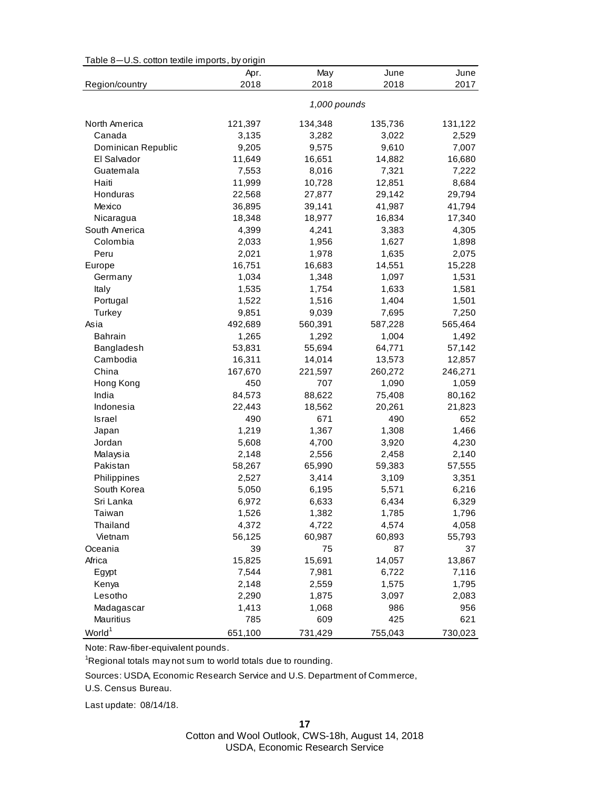| Table 8-U.S. cotton textile imports, by origin |  |  |
|------------------------------------------------|--|--|
|------------------------------------------------|--|--|

|                    | Apr.    | May          | June    | June    |
|--------------------|---------|--------------|---------|---------|
| Region/country     | 2018    | 2018         | 2018    | 2017    |
|                    |         | 1,000 pounds |         |         |
| North America      | 121,397 | 134,348      | 135,736 | 131,122 |
| Canada             | 3,135   | 3,282        | 3,022   | 2,529   |
| Dominican Republic | 9,205   | 9,575        | 9,610   | 7,007   |
| El Salvador        | 11,649  | 16,651       | 14,882  | 16,680  |
| Guatemala          | 7,553   | 8,016        | 7,321   | 7,222   |
| Haiti              | 11,999  | 10,728       | 12,851  | 8,684   |
| Honduras           | 22,568  | 27,877       | 29,142  | 29,794  |
| Mexico             | 36,895  | 39,141       | 41,987  | 41,794  |
| Nicaragua          | 18,348  | 18,977       | 16,834  | 17,340  |
| South America      | 4,399   | 4,241        | 3,383   | 4,305   |
| Colombia           | 2,033   | 1,956        | 1,627   | 1,898   |
| Peru               | 2,021   | 1,978        | 1,635   | 2,075   |
| Europe             | 16,751  | 16,683       | 14,551  | 15,228  |
| Germany            | 1,034   | 1,348        | 1,097   | 1,531   |
| Italy              | 1,535   | 1,754        | 1,633   | 1,581   |
| Portugal           | 1,522   | 1,516        | 1,404   | 1,501   |
| Turkey             | 9,851   | 9,039        | 7,695   | 7,250   |
| Asia               | 492,689 | 560,391      | 587,228 | 565,464 |
| <b>Bahrain</b>     | 1,265   | 1,292        | 1,004   | 1,492   |
| Bangladesh         | 53,831  | 55,694       | 64,771  | 57,142  |
| Cambodia           | 16,311  | 14,014       | 13,573  | 12,857  |
| China              | 167,670 | 221,597      | 260,272 | 246,271 |
| Hong Kong          | 450     | 707          | 1,090   | 1,059   |
| India              | 84,573  | 88,622       | 75,408  | 80,162  |
| Indonesia          | 22,443  | 18,562       | 20,261  | 21,823  |
| Israel             | 490     | 671          | 490     | 652     |
| Japan              | 1,219   | 1,367        | 1,308   | 1,466   |
| Jordan             | 5,608   | 4,700        | 3,920   | 4,230   |
| Malaysia           | 2,148   | 2,556        | 2,458   | 2,140   |
| Pakistan           | 58,267  | 65,990       | 59,383  | 57,555  |
| Philippines        | 2,527   | 3,414        | 3,109   | 3,351   |
| South Korea        | 5,050   | 6,195        | 5,571   | 6,216   |
| Sri Lanka          | 6,972   | 6,633        | 6,434   | 6,329   |
| Taiwan             | 1,526   | 1,382        | 1,785   | 1,796   |
| Thailand           | 4,372   | 4,722        | 4,574   | 4,058   |
| Vietnam            | 56,125  | 60,987       | 60,893  | 55,793  |
| Oceania            | 39      | 75           | 87      | 37      |
| Africa             | 15,825  | 15,691       | 14,057  | 13,867  |
| Egypt              | 7,544   | 7,981        | 6,722   | 7,116   |
| Kenya              | 2,148   | 2,559        | 1,575   | 1,795   |
| Lesotho            | 2,290   | 1,875        | 3,097   | 2,083   |
| Madagascar         | 1,413   | 1,068        | 986     | 956     |
| Mauritius          | 785     | 609          | 425     | 621     |
| World <sup>1</sup> | 651,100 | 731,429      | 755,043 | 730,023 |

Note: Raw-fiber-equivalent pounds.

<sup>1</sup>Regional totals may not sum to world totals due to rounding.

U.S. Census Bureau. Sources: USDA, Economic Research Service and U.S. Department of Commerce,

Last update: 08/14/18.

Cotton and Wool Outlook, CWS-18h, August 14, 2018 USDA, Economic Research Service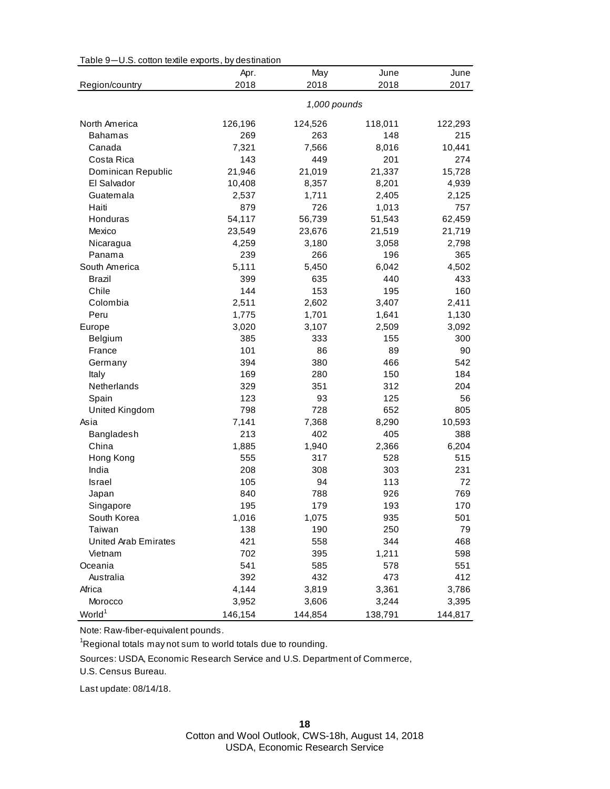| Table 9-U.S. cotton textile exports, by destination |  |  |
|-----------------------------------------------------|--|--|
|-----------------------------------------------------|--|--|

|                             | Apr.    | May          | June    | June    |
|-----------------------------|---------|--------------|---------|---------|
| Region/country              | 2018    | 2018         | 2018    | 2017    |
|                             |         | 1,000 pounds |         |         |
| North America               | 126,196 | 124,526      | 118,011 | 122,293 |
| <b>Bahamas</b>              | 269     | 263          | 148     | 215     |
| Canada                      | 7,321   | 7,566        | 8,016   | 10,441  |
| Costa Rica                  | 143     | 449          | 201     | 274     |
| Dominican Republic          | 21,946  | 21,019       | 21,337  | 15,728  |
| El Salvador                 | 10,408  | 8,357        | 8,201   | 4,939   |
| Guatemala                   | 2,537   | 1,711        | 2,405   | 2,125   |
| Haiti                       | 879     | 726          | 1,013   | 757     |
| Honduras                    | 54,117  | 56,739       | 51,543  | 62,459  |
| Mexico                      | 23,549  | 23,676       | 21,519  | 21,719  |
| Nicaragua                   | 4,259   | 3,180        | 3,058   | 2,798   |
| Panama                      | 239     | 266          | 196     | 365     |
| South America               | 5,111   | 5,450        | 6,042   | 4,502   |
| Brazil                      | 399     | 635          | 440     | 433     |
| Chile                       | 144     | 153          | 195     | 160     |
| Colombia                    | 2,511   | 2,602        | 3,407   | 2,411   |
| Peru                        | 1,775   | 1,701        | 1,641   | 1,130   |
| Europe                      | 3,020   | 3,107        | 2,509   | 3,092   |
| Belgium                     | 385     | 333          | 155     | 300     |
| France                      | 101     | 86           | 89      | 90      |
| Germany                     | 394     | 380          | 466     | 542     |
| Italy                       | 169     | 280          | 150     | 184     |
| Netherlands                 | 329     | 351          | 312     | 204     |
| Spain                       | 123     | 93           | 125     | 56      |
| United Kingdom              | 798     | 728          | 652     | 805     |
| Asia                        | 7,141   | 7,368        | 8,290   | 10,593  |
| Bangladesh                  | 213     | 402          | 405     | 388     |
| China                       | 1,885   | 1,940        | 2,366   | 6,204   |
| Hong Kong                   | 555     | 317          | 528     | 515     |
| India                       | 208     | 308          | 303     | 231     |
| <b>Israel</b>               | 105     | 94           | 113     | 72      |
| Japan                       | 840     | 788          | 926     | 769     |
| Singapore                   | 195     | 179          | 193     | 170     |
| South Korea                 | 1,016   | 1,075        | 935     | 501     |
| Taiwan                      | 138     | 190          | 250     | 79      |
| <b>United Arab Emirates</b> | 421     | 558          | 344     | 468     |
| Vietnam                     | 702     | 395          | 1,211   | 598     |
| Oceania                     | 541     | 585          | 578     | 551     |
| Australia                   | 392     | 432          | 473     | 412     |
| Africa                      | 4,144   | 3,819        | 3,361   | 3,786   |
| Morocco                     | 3,952   | 3,606        | 3,244   | 3,395   |
| World <sup>1</sup>          | 146,154 | 144,854      | 138,791 | 144,817 |

Note: Raw-fiber-equivalent pounds.

<sup>1</sup>Regional totals may not sum to world totals due to rounding.

Sources: USDA, Economic Research Service and U.S. Department of Commerce,

U.S. Census Bureau.

Last update: 08/14/18.

Cotton and Wool Outlook, CWS-18h, August 14, 2018 USDA, Economic Research Service